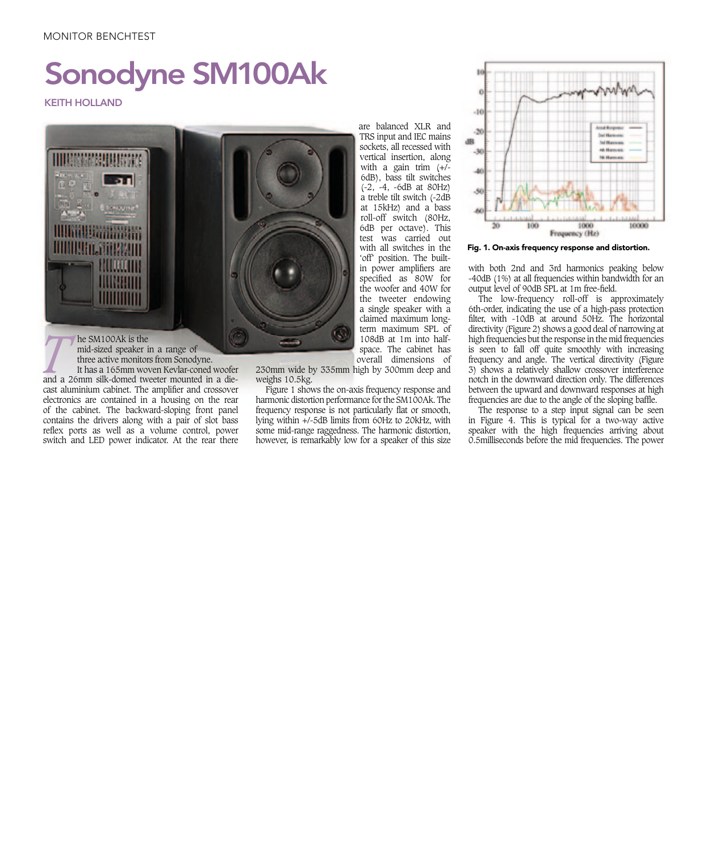## MONITOR BENCHTEST

## Sonodyne SM100Ak

## KEITH HOLLAND



**The SM100Ak is the mid-sized speaker in a range of three active monitors from Sonodyne. It has a 165mm woven Kevlar-coned woofer and a 26mm silk-domed tweeter mounted in a die**three active monitors from Sonodyne. It has a 165mm woven Kevlar-coned woofer cast aluminium cabinet. The amplifier and crossover

reflex ports as well as a volume control, power electronics are contained in a housing on the rear of the cabinet. The backward-sloping front panel contains the drivers along with a pair of slot bass switch and LED power indicator. At the rear there

230mm wide by 335mm high by 300mm deep and weighs 10.5kg.

Figure 1 shows the on-axis frequency response and harmonic distortion performance for the SM100Ak. The frequency response is not particularly flat or smooth, lying within +/-5dB limits from 60Hz to 20kHz, with some mid-range raggedness. The harmonic distortion, however, is remarkably low for a speaker of this size

are balanced XLR and TRS input and IEC mains sockets, all recessed with vertical insertion, along with a gain trim  $(+/-)$ 6dB), bass tilt switches (-2, -4, -6dB at 80Hz) a treble tilt switch (-2dB at 15kHz) and a bass roll-off switch (80Hz, 6dB per octave). This test was carried out with all switches in the 'off' position. The builtin power amplifiers are specified as 80W for the woofer and 40W for the tweeter endowing a single speaker with a claimed maximum longterm maximum SPL of 108dB at 1m into halfspace. The cabinet has overall dimensions of



Fig. 1. On-axis frequency response and distortion.

with both 2nd and 3rd harmonics peaking below -40dB (1%) at all frequencies within bandwidth for an output level of 90dB SPL at 1m free-field.

The low-frequency roll-off is approximately 6th-order, indicating the use of a high-pass protection filter, with -10dB at around 50Hz. The horizontal directivity (Figure 2) shows a good deal of narrowing at high frequencies but the response in the mid frequencies is seen to fall off quite smoothly with increasing frequency and angle. The vertical directivity (Figure 3) shows a relatively shallow crossover interference notch in the downward direction only. The differences between the upward and downward responses at high frequencies are due to the angle of the sloping baffle.

The response to a step input signal can be seen in Figure 4. This is typical for a two-way active speaker with the high frequencies arriving about 0.5milliseconds before the mid frequencies. The power